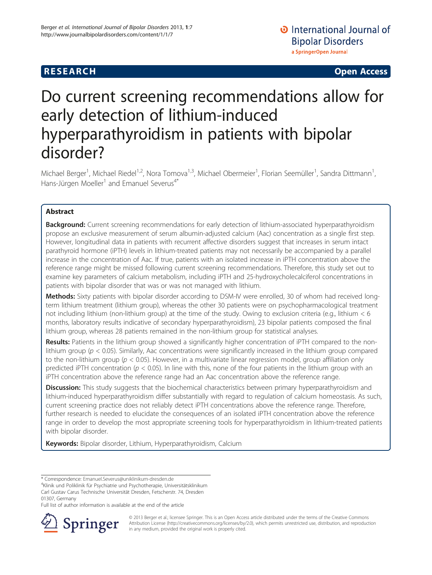## **RESEARCH CHE Open Access**

# Do current screening recommendations allow for early detection of lithium-induced hyperparathyroidism in patients with bipolar disorder?

Michael Berger<sup>1</sup>, Michael Riedel<sup>1,2</sup>, Nora Tomova<sup>1,3</sup>, Michael Obermeier<sup>1</sup>, Florian Seemüller<sup>1</sup>, Sandra Dittmann<sup>1</sup> , Hans-Jürgen Moeller<sup>1</sup> and Emanuel Severus<sup>4\*</sup>

## Abstract

Background: Current screening recommendations for early detection of lithium-associated hyperparathyroidism propose an exclusive measurement of serum albumin-adjusted calcium (Aac) concentration as a single first step. However, longitudinal data in patients with recurrent affective disorders suggest that increases in serum intact parathyroid hormone (iPTH) levels in lithium-treated patients may not necessarily be accompanied by a parallel increase in the concentration of Aac. If true, patients with an isolated increase in iPTH concentration above the reference range might be missed following current screening recommendations. Therefore, this study set out to examine key parameters of calcium metabolism, including iPTH and 25-hydroxycholecalciferol concentrations in patients with bipolar disorder that was or was not managed with lithium.

Methods: Sixty patients with bipolar disorder according to DSM-IV were enrolled, 30 of whom had received longterm lithium treatment (lithium group), whereas the other 30 patients were on psychopharmacological treatment not including lithium (non-lithium group) at the time of the study. Owing to exclusion criteria (e.g., lithium < 6 months, laboratory results indicative of secondary hyperparathyroidism), 23 bipolar patients composed the final lithium group, whereas 28 patients remained in the non-lithium group for statistical analyses.

Results: Patients in the lithium group showed a significantly higher concentration of iPTH compared to the nonlithium group ( $p < 0.05$ ). Similarly, Aac concentrations were significantly increased in the lithium group compared to the non-lithium group ( $p < 0.05$ ). However, in a multivariate linear regression model, group affiliation only predicted iPTH concentration ( $p < 0.05$ ). In line with this, none of the four patients in the lithium group with an iPTH concentration above the reference range had an Aac concentration above the reference range.

Discussion: This study suggests that the biochemical characteristics between primary hyperparathyroidism and lithium-induced hyperparathyroidism differ substantially with regard to regulation of calcium homeostasis. As such, current screening practice does not reliably detect iPTH concentrations above the reference range. Therefore, further research is needed to elucidate the consequences of an isolated iPTH concentration above the reference range in order to develop the most appropriate screening tools for hyperparathyroidism in lithium-treated patients with bipolar disorder.

Keywords: Bipolar disorder, Lithium, Hyperparathyroidism, Calcium

\* Correspondence: [Emanuel.Severus@uniklinikum-dresden.de](mailto:Emanuel.Severus@uniklinikum-dresden.de) <sup>4</sup>

Full list of author information is available at the end of the article



© 2013 Berger et al.; licensee Springer. This is an Open Access article distributed under the terms of the Creative Commons Attribution License [\(http://creativecommons.org/licenses/by/2.0\)](http://creativecommons.org/licenses/by/2.0), which permits unrestricted use, distribution, and reproduction in any medium, provided the original work is properly cited.

<sup>&</sup>lt;sup>4</sup>Klinik und Poliklinik für Psychiatrie und Psychotherapie, Universitätsklinikum Carl Gustav Carus Technische Universität Dresden, Fetscherstr. 74, Dresden 01307, Germany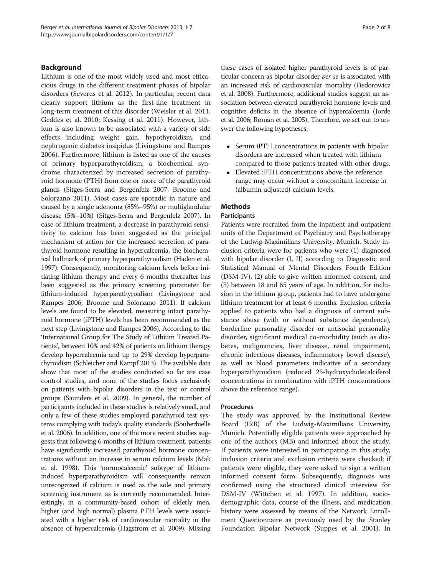## Background

Lithium is one of the most widely used and most efficacious drugs in the different treatment phases of bipolar disorders (Severus et al. [2012\)](#page-7-0). In particular, recent data clearly support lithium as the first-line treatment in long-term treatment of this disorder (Weisler et al. [2011](#page-7-0); Geddes et al. [2010;](#page-7-0) Kessing et al. [2011\)](#page-7-0). However, lithium is also known to be associated with a variety of side effects including weight gain, hypothyroidism, and nephrogenic diabetes insipidus (Livingstone and Rampes [2006](#page-7-0)). Furthermore, lithium is listed as one of the causes of primary hyperparathyroidism, a biochemical syndrome characterized by increased secretion of parathyroid hormone (PTH) from one or more of the parathyroid glands (Sitges-Serra and Bergenfelz [2007;](#page-7-0) Broome and Solorzano [2011](#page-6-0)). Most cases are sporadic in nature and caused by a single adenoma (85%–95%) or multiglandular disease (5%–10%) (Sitges-Serra and Bergenfelz [2007](#page-7-0)). In case of lithium treatment, a decrease in parathyroid sensitivity to calcium has been suggested as the principal mechanism of action for the increased secretion of parathyroid hormone resulting in hypercalcemia, the biochemical hallmark of primary hyperparathyroidism (Haden et al. [1997\)](#page-7-0). Consequently, monitoring calcium levels before initiating lithium therapy and every 6 months thereafter has been suggested as the primary screening parameter for lithium-induced hyperparathyroidism (Livingstone and Rampes [2006;](#page-7-0) Broome and Solorzano [2011\)](#page-6-0). If calcium levels are found to be elevated, measuring intact parathyroid hormone (iPTH) levels has been recommended as the next step (Livingstone and Rampes [2006](#page-7-0)). According to the 'International Group for The Study of Lithium Treated Patients', between 10% and 42% of patients on lithium therapy develop hypercalcemia and up to 29% develop hyperparathyroidism (Schleicher and Kampf [2013](#page-7-0)). The available data show that most of the studies conducted so far are case control studies, and none of the studies focus exclusively on patients with bipolar disorders in the test or control groups (Saunders et al. [2009](#page-7-0)). In general, the number of participants included in these studies is relatively small, and only a few of these studies employed parathyroid test systems complying with today's quality standards (Souberbielle et al. [2006\)](#page-7-0). In addition, one of the more recent studies suggests that following 6 months of lithium treatment, patients have significantly increased parathyroid hormone concentrations without an increase in serum calcium levels (Mak et al. [1998\)](#page-7-0). This 'normocalcemic' subtype of lithiuminduced hyperparathyroidism will consequently remain unrecognized if calcium is used as the sole and primary screening instrument as is currently recommended. Interestingly, in a community-based cohort of elderly men, higher (and high normal) plasma PTH levels were associated with a higher risk of cardiovascular mortality in the absence of hypercalcemia (Hagstrom et al. [2009\)](#page-7-0). Missing these cases of isolated higher parathyroid levels is of particular concern as bipolar disorder per se is associated with an increased risk of cardiovascular mortality (Fiedorowicz et al. [2008](#page-7-0)). Furthermore, additional studies suggest an association between elevated parathyroid hormone levels and cognitive deficits in the absence of hypercalcemia (Jorde et al. [2006;](#page-7-0) Roman et al. [2005\)](#page-7-0). Therefore, we set out to answer the following hypotheses:

- Serum iPTH concentrations in patients with bipolar disorders are increased when treated with lithium compared to those patients treated with other drugs.
- Elevated iPTH concentrations above the reference range may occur without a concomitant increase in (albumin-adjusted) calcium levels.

## **Methods**

## Participants

Patients were recruited from the inpatient and outpatient units of the Department of Psychiatry and Psychotherapy of the Ludwig-Maximilians University, Munich. Study inclusion criteria were for patients who were (1) diagnosed with bipolar disorder (I, II) according to Diagnostic and Statistical Manual of Mental Disorders Fourth Edition (DSM-IV), (2) able to give written informed consent, and (3) between 18 and 65 years of age. In addition, for inclusion in the lithium group, patients had to have undergone lithium treatment for at least 6 months. Exclusion criteria applied to patients who had a diagnosis of current substance abuse (with or without substance dependence), borderline personality disorder or antisocial personality disorder, significant medical co-morbidity (such as diabetes, malignancies, liver disease, renal impairment, chronic infectious diseases, inflammatory bowel disease), as well as blood parameters indicative of a secondary hyperparathyroidism (reduced 25-hydroxycholecalciferol concentrations in combination with iPTH concentrations above the reference range).

## Procedures

The study was approved by the Institutional Review Board (IRB) of the Ludwig-Maximilians University, Munich. Potentially eligible patients were approached by one of the authors (MB) and informed about the study. If patients were interested in participating in this study, inclusion criteria and exclusion criteria were checked; if patients were eligible, they were asked to sign a written informed consent form. Subsequently, diagnosis was confirmed using the structured clinical interview for DSM-IV (Wittchen et al. [1997](#page-7-0)). In addition, sociodemographic data, course of the illness, and medication history were assessed by means of the Network Enrollment Questionnaire as previously used by the Stanley Foundation Bipolar Network (Suppes et al. [2001\)](#page-7-0). In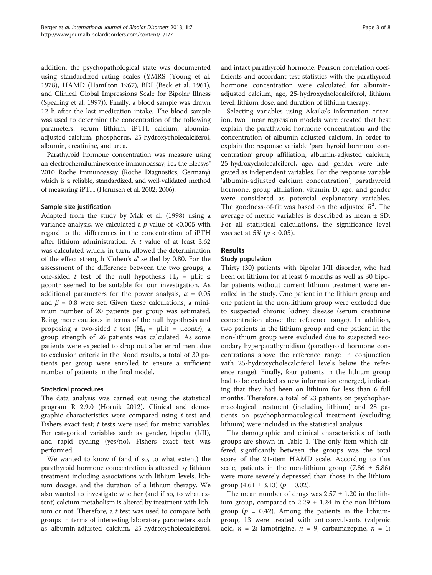addition, the psychopathological state was documented using standardized rating scales (YMRS (Young et al. [1978](#page-7-0)), HAMD (Hamilton [1967\)](#page-7-0), BDI (Beck et al. [1961](#page-6-0)), and Clinical Global Impressions Scale for Bipolar Illness (Spearing et al. [1997\)](#page-7-0)). Finally, a blood sample was drawn 12 h after the last medication intake. The blood sample was used to determine the concentration of the following parameters: serum lithium, iPTH, calcium, albuminadjusted calcium, phosphorus, 25-hydroxycholecalciferol, albumin, creatinine, and urea.

Parathyroid hormone concentration was measure using an electrochemiluminescence immunoassay, i.e., the Elecsys<sup>®</sup> 2010 Roche immunoassay (Roche Diagnostics, Germany) which is a reliable, standardized, and well-validated method of measuring iPTH (Hermsen et al. [2002](#page-7-0); [2006](#page-7-0)).

## Sample size justification

Adapted from the study by Mak et al. ([1998\)](#page-7-0) using a variance analysis, we calculated a  $p$  value of <0.005 with regard to the differences in the concentration of iPTH after lithium administration. A t value of at least 3.62 was calculated which, in turn, allowed the determination of the effect strength 'Cohen's d' settled by 0.80. For the assessment of the difference between the two groups, a one-sided t test of the null hypothesis  $H_0 = \mu$ Lit  $\leq$ μcontr seemed to be suitable for our investigation. As additional parameters for the power analysis,  $\alpha = 0.05$ and  $\beta$  = 0.8 were set. Given these calculations, a minimum number of 20 patients per group was estimated. Being more cautious in terms of the null hypothesis and proposing a two-sided t test  $(H_0 = \mu Lit = \mu contr)$ , a group strength of 26 patients was calculated. As some patients were expected to drop out after enrollment due to exclusion criteria in the blood results, a total of 30 patients per group were enrolled to ensure a sufficient number of patients in the final model.

## Statistical procedures

The data analysis was carried out using the statistical program R 2.9.0 (Hornik [2012\)](#page-7-0). Clinical and demographic characteristics were compared using  $t$  test and Fishers exact test;  $t$  tests were used for metric variables. For categorical variables such as gender, bipolar (I/II), and rapid cycling (yes/no), Fishers exact test was performed.

We wanted to know if (and if so, to what extent) the parathyroid hormone concentration is affected by lithium treatment including associations with lithium levels, lithium dosage, and the duration of a lithium therapy. We also wanted to investigate whether (and if so, to what extent) calcium metabolism is altered by treatment with lithium or not. Therefore, a t test was used to compare both groups in terms of interesting laboratory parameters such as albumin-adjusted calcium, 25-hydroxycholecalciferol,

and intact parathyroid hormone. Pearson correlation coefficients and accordant test statistics with the parathyroid hormone concentration were calculated for albuminadjusted calcium, age, 25-hydroxycholecalciferol, lithium level, lithium dose, and duration of lithium therapy.

Selecting variables using Akaike's information criterion, two linear regression models were created that best explain the parathyroid hormone concentration and the concentration of albumin-adjusted calcium. In order to explain the response variable 'parathyroid hormone concentration' group affiliation, albumin-adjusted calcium, 25-hydroxycholecalciferol, age, and gender were integrated as independent variables. For the response variable 'albumin-adjusted calcium concentration', parathyroid hormone, group affiliation, vitamin D, age, and gender were considered as potential explanatory variables. The goodness-of-fit was based on the adjusted  $R^2$ . The average of metric variables is described as mean ± SD. For all statistical calculations, the significance level was set at 5% ( $p < 0.05$ ).

## Results

#### Study population

Thirty (30) patients with bipolar I/II disorder, who had been on lithium for at least 6 months as well as 30 bipolar patients without current lithium treatment were enrolled in the study. One patient in the lithium group and one patient in the non-lithium group were excluded due to suspected chronic kidney disease (serum creatinine concentration above the reference range). In addition, two patients in the lithium group and one patient in the non-lithium group were excluded due to suspected secondary hyperparathyroidism (parathyroid hormone concentrations above the reference range in conjunction with 25-hydroxycholecalciferol levels below the reference range). Finally, four patients in the lithium group had to be excluded as new information emerged, indicating that they had been on lithium for less than 6 full months. Therefore, a total of 23 patients on psychopharmacological treatment (including lithium) and 28 patients on psychopharmacological treatment (excluding lithium) were included in the statistical analysis.

The demographic and clinical characteristics of both groups are shown in Table [1](#page-3-0). The only item which differed significantly between the groups was the total score of the 21-item HAMD scale. According to this scale, patients in the non-lithium group (7.86  $\pm$  5.86) were more severely depressed than those in the lithium group  $(4.61 \pm 3.13)$   $(p = 0.02)$ .

The mean number of drugs was  $2.57 \pm 1.20$  in the lithium group, compared to  $2.29 \pm 1.24$  in the non-lithium group ( $p = 0.42$ ). Among the patients in the lithiumgroup, 13 were treated with anticonvulsants (valproic acid,  $n = 2$ ; lamotrigine,  $n = 9$ ; carbamazepine,  $n = 1$ ;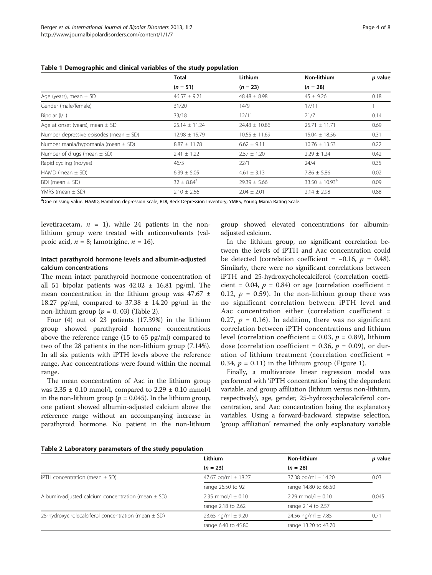|                                            | Total             | Lithium           | Non-lithium                    | p value |
|--------------------------------------------|-------------------|-------------------|--------------------------------|---------|
|                                            | $(n = 51)$        | $(n = 23)$        | $(n = 28)$                     |         |
| Age (years), mean $\pm$ SD                 | $46.57 \pm 9.21$  | $48.48 \pm 8.98$  | $45 \pm 9.26$                  | 0.18    |
| Gender (male/female)                       | 31/20             | 14/9              | 17/11                          |         |
| Bipolar (I/II)                             | 33/18             | 12/11             | 21/7                           | 0.14    |
| Age at onset (years), mean $\pm$ SD        | $25.14 \pm 11.24$ | $24.43 \pm 10.86$ | $25.71 \pm 11.71$              | 0.69    |
| Number depressive episodes (mean $\pm$ SD) | $12.98 \pm 15.79$ | $10.55 \pm 11,69$ | $15.04 \pm 18.56$              | 0.31    |
| Number mania/hypomania (mean ± SD)         | $8.87 \pm 11.78$  | $6.62 \pm 9.11$   | $10.76 \pm 13.53$              | 0.22    |
| Number of drugs (mean $\pm$ SD)            | $2.41 \pm 1.22$   | $2.57 \pm 1.20$   | $2.29 \pm 1.24$                | 0.42    |
| Rapid cycling (no/yes)                     | 46/5              | 22/1              | 24/4                           | 0.35    |
| HAMD (mean $\pm$ SD)                       | $6.39 \pm 5.05$   | $4.61 \pm 3.13$   | $7.86 \pm 5.86$                | 0.02    |
| BDI (mean $\pm$ SD)                        | $32 \pm 8.84^a$   | $29.39 \pm 5.66$  | 33.50 $\pm$ 10.93 <sup>a</sup> | 0.09    |
| YMRS (mean $\pm$ SD)                       | $2.10 \pm 2.56$   | $2.04 \pm 2.01$   | $2.14 \pm 2.98$                | 0.88    |

<span id="page-3-0"></span>Table 1 Demographic and clinical variables of the study population

a One missing value. HAMD, Hamilton depression scale; BDI, Beck Depression Inventory; YMRS, Young Mania Rating Scale.

levetiracetam,  $n = 1$ , while 24 patients in the nonlithium group were treated with anticonvulsants (valproic acid,  $n = 8$ ; lamotrigine,  $n = 16$ ).

## Intact parathyroid hormone levels and albumin-adjusted calcium concentrations

The mean intact parathyroid hormone concentration of all 51 bipolar patients was  $42.02 \pm 16.81$  pg/ml. The mean concentration in the lithium group was  $47.67 \pm$ 18.27 pg/ml, compared to  $37.38 \pm 14.20$  pg/ml in the non-lithium group ( $p = 0.03$ ) (Table 2).

Four (4) out of 23 patients (17.39%) in the lithium group showed parathyroid hormone concentrations above the reference range (15 to 65 pg/ml) compared to two of the 28 patients in the non-lithium group (7.14%). In all six patients with iPTH levels above the reference range, Aac concentrations were found within the normal range.

The mean concentration of Aac in the lithium group was  $2.35 \pm 0.10$  mmol/l, compared to  $2.29 \pm 0.10$  mmol/l in the non-lithium group ( $p = 0.045$ ). In the lithium group, one patient showed albumin-adjusted calcium above the reference range without an accompanying increase in parathyroid hormone. No patient in the non-lithium

group showed elevated concentrations for albuminadjusted calcium.

In the lithium group, no significant correlation between the levels of iPTH and Aac concentration could be detected (correlation coefficient =  $-0.16$ ,  $p = 0.48$ ). Similarly, there were no significant correlations between iPTH and 25-hydroxycholecalciferol (correlation coefficient =  $0.04$ ,  $p = 0.84$ ) or age (correlation coefficient = 0.12,  $p = 0.59$ ). In the non-lithium group there was no significant correlation between iPTH level and Aac concentration either (correlation coefficient = 0.27,  $p = 0.16$ ). In addition, there was no significant correlation between iPTH concentrations and lithium level (correlation coefficient = 0.03,  $p = 0.89$ ), lithium dose (correlation coefficient = 0.36,  $p = 0.09$ ), or duration of lithium treatment (correlation coefficient = 0.34,  $p = 0.11$ ) in the lithium group (Figure [1\)](#page-4-0).

Finally, a multivariate linear regression model was performed with 'iPTH concentration' being the dependent variable, and group affiliation (lithium versus non-lithium, respectively), age, gender, 25-hydroxycholecalciferol concentration, and Aac concentration being the explanatory variables. Using a forward-backward stepwise selection, 'group affiliation' remained the only explanatory variable

|  |  | Table 2 Laboratory parameters of the study population |  |  |  |
|--|--|-------------------------------------------------------|--|--|--|
|--|--|-------------------------------------------------------|--|--|--|

|                                                         | Lithium                 | Non-lithium             | p value |
|---------------------------------------------------------|-------------------------|-------------------------|---------|
|                                                         | $(n = 23)$              | $(n = 28)$              |         |
| $i$ PTH concentration (mean $\pm$ SD)                   | 47.67 pg/ml $\pm$ 18.27 | 37.38 pg/ml $\pm$ 14.20 | 0.03    |
|                                                         | range 26.50 to 92       | range 14.80 to 66.50    |         |
| Albumin-adjusted calcium concentration (mean $\pm$ SD)  | 2.35 mmol/ $\pm$ 0.10   | 2.29 mmol/ $\pm$ 0.10   | 0.045   |
|                                                         | range 2.18 to 2.62      | range 2.14 to 2.57      |         |
| 25-hydroxycholecalciferol concentration (mean $\pm$ SD) | 23.65 ng/ml $\pm$ 9.20  | 24.56 ng/ml $\pm$ 7.85  | 0.71    |
|                                                         | range 6.40 to 45.80     | range 13.20 to 43.70    |         |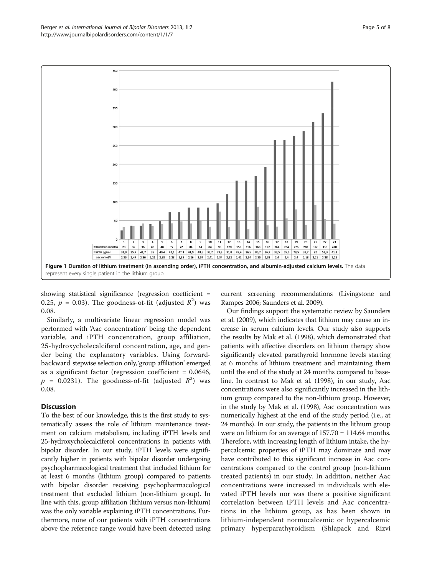<span id="page-4-0"></span>

showing statistical significance (regression coefficient = 0.25,  $p = 0.03$ ). The goodness-of-fit (adjusted  $R^2$ ) was 0.08.

Similarly, a multivariate linear regression model was performed with 'Aac concentration' being the dependent variable, and iPTH concentration, group affiliation, 25-hydroxycholecalciferol concentration, age, and gender being the explanatory variables. Using forwardbackward stepwise selection only,'group affiliation' emerged as a significant factor (regression coefficient = 0.0646,  $p = 0.0231$ ). The goodness-of-fit (adjusted  $R^2$ ) was 0.08.

## **Discussion**

To the best of our knowledge, this is the first study to systematically assess the role of lithium maintenance treatment on calcium metabolism, including iPTH levels and 25-hydroxycholecalciferol concentrations in patients with bipolar disorder. In our study, iPTH levels were significantly higher in patients with bipolar disorder undergoing psychopharmacological treatment that included lithium for at least 6 months (lithium group) compared to patients with bipolar disorder receiving psychopharmacological treatment that excluded lithium (non-lithium group). In line with this, group affiliation (lithium versus non-lithium) was the only variable explaining iPTH concentrations. Furthermore, none of our patients with iPTH concentrations above the reference range would have been detected using current screening recommendations (Livingstone and Rampes [2006;](#page-7-0) Saunders et al. [2009](#page-7-0)).

Our findings support the systematic review by Saunders et al. [\(2009\)](#page-7-0), which indicates that lithium may cause an increase in serum calcium levels. Our study also supports the results by Mak et al. ([1998\)](#page-7-0), which demonstrated that patients with affective disorders on lithium therapy show significantly elevated parathyroid hormone levels starting at 6 months of lithium treatment and maintaining them until the end of the study at 24 months compared to baseline. In contrast to Mak et al. ([1998](#page-7-0)), in our study, Aac concentrations were also significantly increased in the lithium group compared to the non-lithium group. However, in the study by Mak et al. ([1998](#page-7-0)), Aac concentration was numerically highest at the end of the study period (i.e., at 24 months). In our study, the patients in the lithium group were on lithium for an average of  $157.70 \pm 114.64$  months. Therefore, with increasing length of lithium intake, the hypercalcemic properties of iPTH may dominate and may have contributed to this significant increase in Aac concentrations compared to the control group (non-lithium treated patients) in our study. In addition, neither Aac concentrations were increased in individuals with elevated iPTH levels nor was there a positive significant correlation between iPTH levels and Aac concentrations in the lithium group, as has been shown in lithium-independent normocalcemic or hypercalcemic primary hyperparathyroidism (Shlapack and Rizvi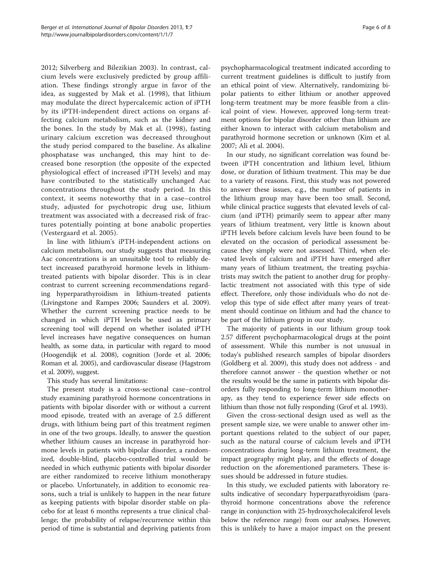[2012;](#page-7-0) Silverberg and Bilezikian [2003\)](#page-7-0). In contrast, calcium levels were exclusively predicted by group affiliation. These findings strongly argue in favor of the idea, as suggested by Mak et al. ([1998](#page-7-0)), that lithium may modulate the direct hypercalcemic action of iPTH by its iPTH-independent direct actions on organs affecting calcium metabolism, such as the kidney and the bones. In the study by Mak et al. [\(1998](#page-7-0)), fasting urinary calcium excretion was decreased throughout the study period compared to the baseline. As alkaline phosphatase was unchanged, this may hint to decreased bone resorption (the opposite of the expected physiological effect of increased iPTH levels) and may have contributed to the statistically unchanged Aac concentrations throughout the study period. In this context, it seems noteworthy that in a case–control study, adjusted for psychotropic drug use, lithium treatment was associated with a decreased risk of fractures potentially pointing at bone anabolic properties (Vestergaard et al. [2005\)](#page-7-0).

In line with lithium's iPTH-independent actions on calcium metabolism, our study suggests that measuring Aac concentrations is an unsuitable tool to reliably detect increased parathyroid hormone levels in lithiumtreated patients with bipolar disorder. This is in clear contrast to current screening recommendations regarding hyperparathyroidism in lithium-treated patients (Livingstone and Rampes [2006](#page-7-0); Saunders et al. [2009](#page-7-0)). Whether the current screening practice needs to be changed in which iPTH levels be used as primary screening tool will depend on whether isolated iPTH level increases have negative consequences on human health, as some data, in particular with regard to mood (Hoogendijk et al. [2008](#page-7-0)), cognition (Jorde et al. [2006](#page-7-0); Roman et al. [2005](#page-7-0)), and cardiovascular disease (Hagstrom et al. [2009](#page-7-0)), suggest.

## This study has several limitations:

The present study is a cross-sectional case–control study examining parathyroid hormone concentrations in patients with bipolar disorder with or without a current mood episode, treated with an average of 2.5 different drugs, with lithium being part of this treatment regimen in one of the two groups. Ideally, to answer the question whether lithium causes an increase in parathyroid hormone levels in patients with bipolar disorder, a randomized, double-blind, placebo-controlled trial would be needed in which euthymic patients with bipolar disorder are either randomized to receive lithium monotherapy or placebo. Unfortunately, in addition to economic reasons, such a trial is unlikely to happen in the near future as keeping patients with bipolar disorder stable on placebo for at least 6 months represents a true clinical challenge; the probability of relapse/recurrence within this period of time is substantial and depriving patients from

psychopharmacological treatment indicated according to current treatment guidelines is difficult to justify from an ethical point of view. Alternatively, randomizing bipolar patients to either lithium or another approved long-term treatment may be more feasible from a clinical point of view. However, approved long-term treatment options for bipolar disorder other than lithium are either known to interact with calcium metabolism and parathyroid hormone secretion or unknown (Kim et al. [2007](#page-7-0); Ali et al. [2004\)](#page-6-0).

In our study, no significant correlation was found between iPTH concentration and lithium level, lithium dose, or duration of lithium treatment. This may be due to a variety of reasons. First, this study was not powered to answer these issues, e.g., the number of patients in the lithium group may have been too small. Second, while clinical practice suggests that elevated levels of calcium (and iPTH) primarily seem to appear after many years of lithium treatment, very little is known about iPTH levels before calcium levels have been found to be elevated on the occasion of periodical assessment because they simply were not assessed. Third, when elevated levels of calcium and iPTH have emerged after many years of lithium treatment, the treating psychiatrists may switch the patient to another drug for prophylactic treatment not associated with this type of side effect. Therefore, only those individuals who do not develop this type of side effect after many years of treatment should continue on lithium and had the chance to be part of the lithium group in our study.

The majority of patients in our lithium group took 2.57 different psychopharmacological drugs at the point of assessment. While this number is not unusual in today's published research samples of bipolar disorders (Goldberg et al. [2009](#page-7-0)), this study does not address - and therefore cannot answer - the question whether or not the results would be the same in patients with bipolar disorders fully responding to long-term lithium monotherapy, as they tend to experience fewer side effects on lithium than those not fully responding (Grof et al. [1993](#page-7-0)).

Given the cross-sectional design used as well as the present sample size, we were unable to answer other important questions related to the subject of our paper, such as the natural course of calcium levels and iPTH concentrations during long-term lithium treatment, the impact geography might play, and the effects of dosage reduction on the aforementioned parameters. These issues should be addressed in future studies.

In this study, we excluded patients with laboratory results indicative of secondary hyperparathyroidism (parathyroid hormone concentrations above the reference range in conjunction with 25-hydroxycholecalciferol levels below the reference range) from our analyses. However, this is unlikely to have a major impact on the present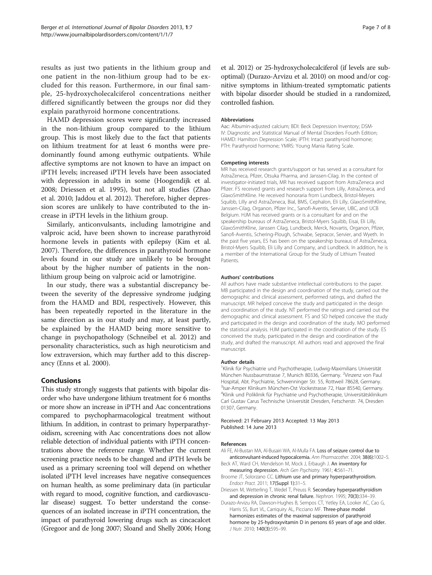<span id="page-6-0"></span>results as just two patients in the lithium group and one patient in the non-lithium group had to be excluded for this reason. Furthermore, in our final sample, 25-hydroxycholecalciferol concentrations neither differed significantly between the groups nor did they explain parathyroid hormone concentrations.

HAMD depression scores were significantly increased in the non-lithium group compared to the lithium group. This is most likely due to the fact that patients on lithium treatment for at least 6 months were predominantly found among euthymic outpatients. While affective symptoms are not known to have an impact on iPTH levels; increased iPTH levels have been associated with depression in adults in some (Hoogendijk et al. [2008](#page-7-0); Driessen et al. 1995), but not all studies (Zhao et al. [2010;](#page-7-0) Jaddou et al. [2012\)](#page-7-0). Therefore, higher depression scores are unlikely to have contributed to the increase in iPTH levels in the lithium group.

Similarly, anticonvulsants, including lamotrigine and valproic acid, have been shown to increase parathyroid hormone levels in patients with epilepsy (Kim et al. [2007](#page-7-0)). Therefore, the differences in parathyroid hormone levels found in our study are unlikely to be brought about by the higher number of patients in the nonlithium group being on valproic acid or lamotrigine.

In our study, there was a substantial discrepancy between the severity of the depressive syndrome judging from the HAMD and BDI, respectively. However, this has been repeatedly reported in the literature in the same direction as in our study and may, at least partly, be explained by the HAMD being more sensitive to change in psychopathology (Schneibel et al. [2012\)](#page-7-0) and personality characteristics, such as high neuroticism and low extraversion, which may further add to this discrepancy (Enns et al. [2000\)](#page-7-0).

## Conclusions

This study strongly suggests that patients with bipolar disorder who have undergone lithium treatment for 6 months or more show an increase in iPTH and Aac concentrations compared to psychopharmacological treatment without lithium. In addition, in contrast to primary hyperparathyroidism, screening with Aac concentrations does not allow reliable detection of individual patients with iPTH concentrations above the reference range. Whether the current screening practice needs to be changed and iPTH levels be used as a primary screening tool will depend on whether isolated iPTH level increases have negative consequences on human health, as some preliminary data (in particular with regard to mood, cognitive function, and cardiovascular disease) suggest. To better understand the consequences of an isolated increase in iPTH concentration, the impact of parathyroid lowering drugs such as cincacalcet (Gregoor and de Jong [2007](#page-7-0); Sloand and Shelly [2006](#page-7-0); Hong et al. [2012](#page-7-0)) or 25-hydroxycholecalciferol (if levels are suboptimal) (Durazo-Arvizu et al. 2010) on mood and/or cognitive symptoms in lithium-treated symptomatic patients with bipolar disorder should be studied in a randomized, controlled fashion.

#### Abbreviations

Aac: Albumin-adjusted calcium; BDI: Beck Depression Inventory; DSM-IV: Diagnostic and Statistical Manual of Mental Disorders Fourth Edition; HAMD: Hamilton Depression Scale; iPTH: Intact parathyroid hormone; PTH: Parathyroid hormone; YMRS: Young Mania Rating Scale.

#### Competing interests

MR has received research grants/support or has served as a consultant for AstraZeneca, Pfizer, Otsuka Pharma, and Janssen-Cilag. In the context of investigator-initiated trials, MR has received support from AstraZeneca and Pfizer. FS received grants and research support from Lilly, AstraZeneca, and GlaxoSmithKline. He received honoraria from Lundbeck, Bristol-Meyers Squibb, Lilly and AstraZeneca, Bial, BMS, Cephalon, Eli Lilly, GlaxoSmithKline, Janssen-Cilag, Organon, Pfizer Inc., Sanofi-Aventis, Servier, UBC, and UCB Belgium. HJM has received grants or is a consultant for and on the speakership bureaus of AstraZeneca, Bristol-Myers Squibb, Eisai, Eli Lilly, GlaxoSmithKline, Janssen Cilag, Lundbeck, Merck, Novartis, Organon, Pfizer, Sanofi-Aventis, Schering-Plough, Schwabe, Sepracor, Servier, and Wyeth. In the past five years, ES has been on the speakership bureaus of AstraZeneca, Bristol-Myers Squibb, Eli Lilly and Company, and Lundbeck. In addition, he is a member of the International Group for the Study of Lithium Treated Patients.

#### Authors' contributions

All authors have made substantive intellectual contributions to the paper. MB participated in the design and coordination of the study, carried out the demographic and clinical assessment, performed ratings, and drafted the manuscript. MR helped conceive the study and participated in the design and coordination of the study. NT performed the ratings and carried out the demographic and clinical assessment. FS and SD helped conceive the study and participated in the design and coordination of the study. MO performed the statistical analysis. HJM participated in the coordination of the study. ES conceived the study, participated in the design and coordination of the study, and drafted the manuscript. All authors read and approved the final manuscript.

#### Author details

1 Klinik für Psychiatrie und Psychotherapie, Ludwig-Maximilians Universität München Nussbaumstrasse 7, Munich 80336, Germany. <sup>2</sup>Vinzenz von Paul Hospital, Abt. Psychiatrie, Schwenninger Str. 55, Rottweil 78628, Germany. 3 Isar-Amper Klinikum München-Ost Vockestrasse 72, Haar 85540, Germany. 4 Klinik und Poliklinik für Psychiatrie und Psychotherapie, Universitätsklinikum Carl Gustav Carus Technische Universität Dresden, Fetscherstr. 74, Dresden 01307, Germany.

#### Received: 21 February 2013 Accepted: 13 May 2013 Published: 14 June 2013

#### References

- Ali FE, Al-Bustan MA, Al-Busairi WA, Al-Mulla FA. Loss of seizure control due to anticonvulsant-induced hypocalcemia. Ann Pharmacother. 2004; 38(6):1002–5.
- Beck AT, Ward CH, Mendelson M, Mock J, Erbaugh J. An inventory for measuring depression. Arch Gen Psychiatry. 1961; 4:561–71.
- Broome JT, Solorzano CC. Lithium use and primary hyperparathyroidism. Endocr Pract. 2011; 17(Suppl 1):31–5.
- Driessen M, Wetterling T, Wedel T, Preuss R. Secondary hyperparathyroidism and depression in chronic renal failure. Nephron. 1995; 70(3):334–39.
- Durazo-Arvizu RA, Dawson-Hughes B, Sempos CT, Yetley EA, Looker AC, Cao G, Harris SS, Burt VL, Carriquiry AL, Picciano MF. Three-phase model harmonizes estimates of the maximal suppression of parathyroid hormone by 25-hydroxyvitamin D in persons 65 years of age and older. J Nutr. 2010; 140(3):595–99.